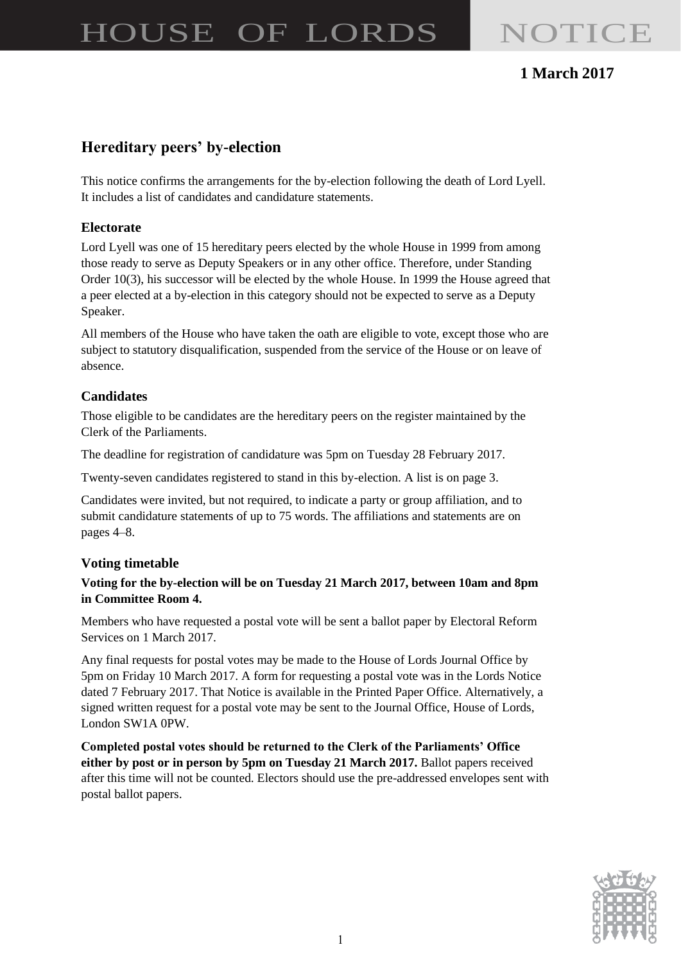# HOUSE OF LORDS NOTICE

# **1 March 2017**

# **Hereditary peers' by-election**

This notice confirms the arrangements for the by-election following the death of Lord Lyell. It includes a list of candidates and candidature statements.

#### **Electorate**

Lord Lyell was one of 15 hereditary peers elected by the whole House in 1999 from among those ready to serve as Deputy Speakers or in any other office. Therefore, under Standing Order 10(3), his successor will be elected by the whole House. In 1999 the House agreed that a peer elected at a by-election in this category should not be expected to serve as a Deputy Speaker.

All members of the House who have taken the oath are eligible to vote, except those who are subject to statutory disqualification, suspended from the service of the House or on leave of absence.

#### **Candidates**

Those eligible to be candidates are the hereditary peers on the register maintained by the Clerk of the Parliaments.

The deadline for registration of candidature was 5pm on Tuesday 28 February 2017.

Twenty-seven candidates registered to stand in this by-election. A list is on page 3.

Candidates were invited, but not required, to indicate a party or group affiliation, and to submit candidature statements of up to 75 words. The affiliations and statements are on pages 4–8.

#### **Voting timetable**

#### **Voting for the by-election will be on Tuesday 21 March 2017, between 10am and 8pm in Committee Room 4.**

Members who have requested a postal vote will be sent a ballot paper by Electoral Reform Services on 1 March 2017.

Any final requests for postal votes may be made to the House of Lords Journal Office by 5pm on Friday 10 March 2017. A form for requesting a postal vote was in the Lords Notice dated 7 February 2017. That Notice is available in the Printed Paper Office. Alternatively, a signed written request for a postal vote may be sent to the Journal Office, House of Lords, London SW1A 0PW.

**Completed postal votes should be returned to the Clerk of the Parliaments' Office either by post or in person by 5pm on Tuesday 21 March 2017.** Ballot papers received after this time will not be counted. Electors should use the pre-addressed envelopes sent with postal ballot papers.

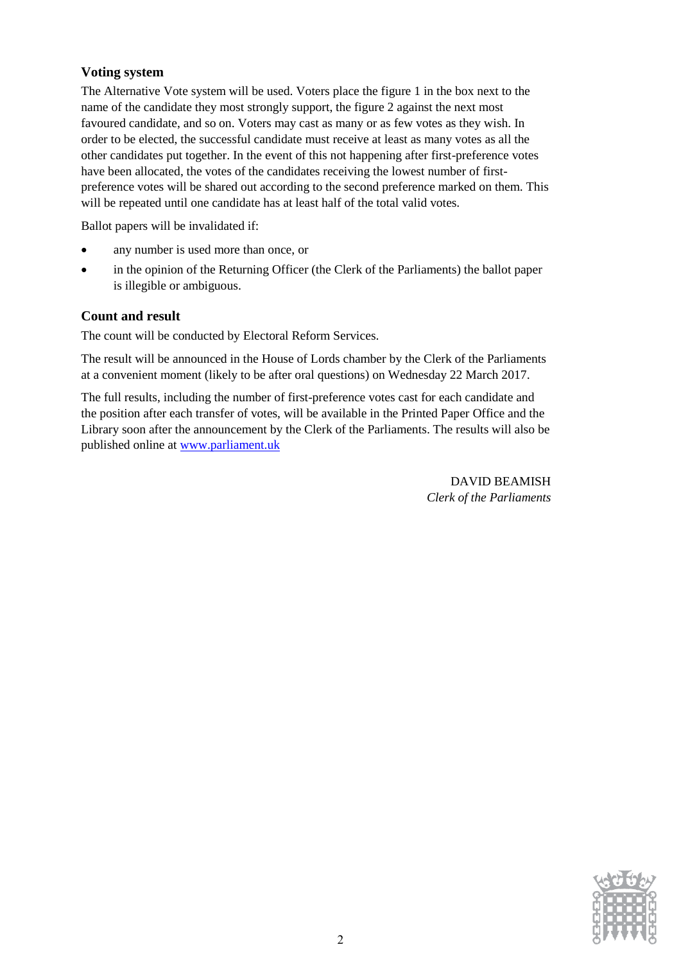### **Voting system**

The Alternative Vote system will be used. Voters place the figure 1 in the box next to the name of the candidate they most strongly support, the figure 2 against the next most favoured candidate, and so on. Voters may cast as many or as few votes as they wish. In order to be elected, the successful candidate must receive at least as many votes as all the other candidates put together. In the event of this not happening after first-preference votes have been allocated, the votes of the candidates receiving the lowest number of firstpreference votes will be shared out according to the second preference marked on them. This will be repeated until one candidate has at least half of the total valid votes.

Ballot papers will be invalidated if:

- any number is used more than once, or
- in the opinion of the Returning Officer (the Clerk of the Parliaments) the ballot paper is illegible or ambiguous.

#### **Count and result**

The count will be conducted by Electoral Reform Services.

The result will be announced in the House of Lords chamber by the Clerk of the Parliaments at a convenient moment (likely to be after oral questions) on Wednesday 22 March 2017.

The full results, including the number of first-preference votes cast for each candidate and the position after each transfer of votes, will be available in the Printed Paper Office and the Library soon after the announcement by the Clerk of the Parliaments. The results will also be published online at [www.parliament.uk](http://www.parliament.uk/)

> DAVID BEAMISH *Clerk of the Parliaments*

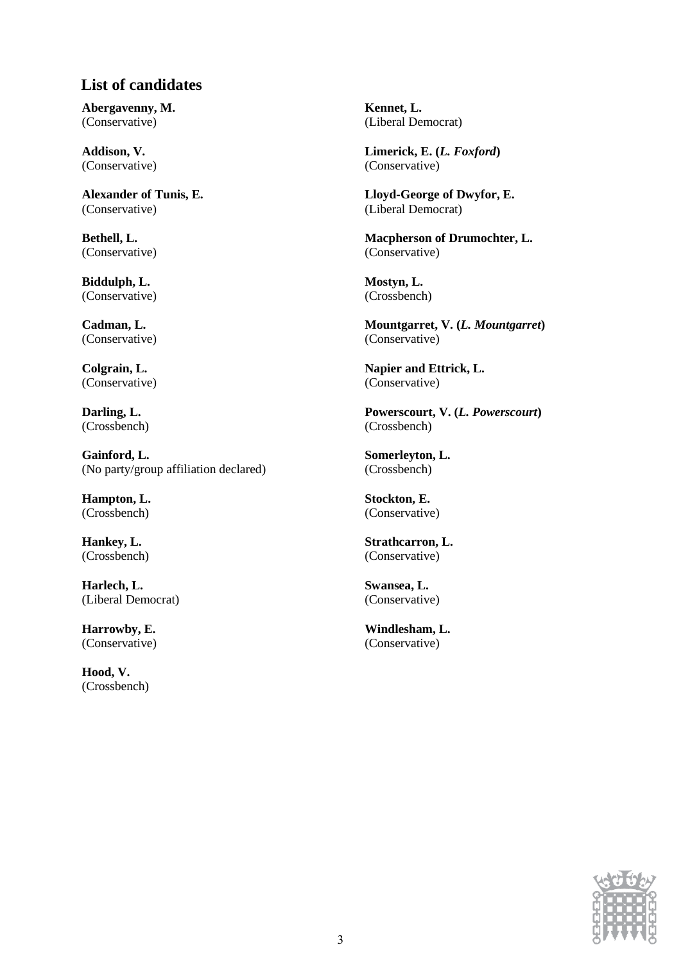# **List of candidates**

**Abergavenny, M.**  (Conservative)

**Addison, V.**  (Conservative)

**Alexander of Tunis, E.**  (Conservative)

**Bethell, L.**  (Conservative)

**Biddulph, L.**  (Conservative)

**Cadman, L.**  (Conservative)

**Colgrain, L.**  (Conservative)

**Darling, L.**  (Crossbench)

**Gainford, L.**  (No party/group affiliation declared)

**Hampton, L.**  (Crossbench)

**Hankey, L.**  (Crossbench)

**Harlech, L.**  (Liberal Democrat)

**Harrowby, E.**  (Conservative)

**Hood, V.**  (Crossbench) **Kennet, L.**  (Liberal Democrat)

**Limerick, E. (***L. Foxford***)**  (Conservative)

**Lloyd-George of Dwyfor, E.**  (Liberal Democrat)

**Macpherson of Drumochter, L.**  (Conservative)

**Mostyn, L.**  (Crossbench)

**Mountgarret, V. (***L. Mountgarret***)**  (Conservative)

**Napier and Ettrick, L.**  (Conservative)

**Powerscourt, V. (***L. Powerscourt***)**  (Crossbench)

**Somerleyton, L.**  (Crossbench)

**Stockton, E.**  (Conservative)

**Strathcarron, L.**  (Conservative)

**Swansea, L.**  (Conservative)

**Windlesham, L.**  (Conservative)

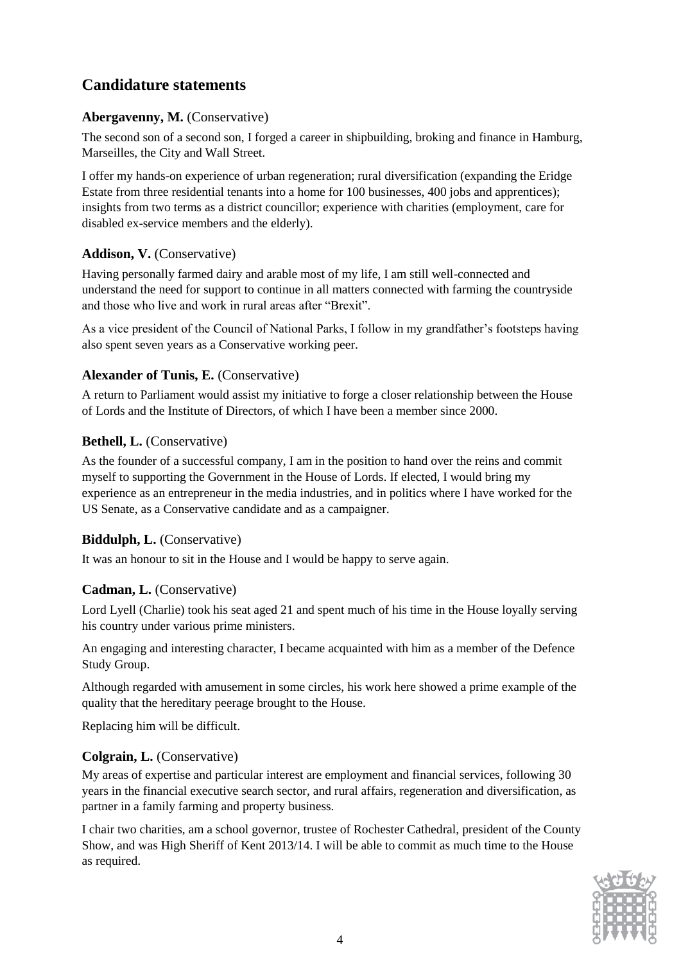# **Candidature statements**

# **Abergavenny, M.** (Conservative)

The second son of a second son, I forged a career in shipbuilding, broking and finance in Hamburg, Marseilles, the City and Wall Street.

I offer my hands-on experience of urban regeneration; rural diversification (expanding the Eridge Estate from three residential tenants into a home for 100 businesses, 400 jobs and apprentices); insights from two terms as a district councillor; experience with charities (employment, care for disabled ex-service members and the elderly).

# **Addison, V.** (Conservative)

Having personally farmed dairy and arable most of my life, I am still well-connected and understand the need for support to continue in all matters connected with farming the countryside and those who live and work in rural areas after "Brexit".

As a vice president of the Council of National Parks, I follow in my grandfather's footsteps having also spent seven years as a Conservative working peer.

# **Alexander of Tunis, E.** (Conservative)

A return to Parliament would assist my initiative to forge a closer relationship between the House of Lords and the Institute of Directors, of which I have been a member since 2000.

# **Bethell, L.** (Conservative)

As the founder of a successful company, I am in the position to hand over the reins and commit myself to supporting the Government in the House of Lords. If elected, I would bring my experience as an entrepreneur in the media industries, and in politics where I have worked for the US Senate, as a Conservative candidate and as a campaigner.

# **Biddulph, L.** (Conservative)

It was an honour to sit in the House and I would be happy to serve again.

# **Cadman, L.** (Conservative)

Lord Lyell (Charlie) took his seat aged 21 and spent much of his time in the House loyally serving his country under various prime ministers.

An engaging and interesting character, I became acquainted with him as a member of the Defence Study Group.

Although regarded with amusement in some circles, his work here showed a prime example of the quality that the hereditary peerage brought to the House.

Replacing him will be difficult.

# **Colgrain, L.** (Conservative)

My areas of expertise and particular interest are employment and financial services, following 30 years in the financial executive search sector, and rural affairs, regeneration and diversification, as partner in a family farming and property business.

I chair two charities, am a school governor, trustee of Rochester Cathedral, president of the County Show, and was High Sheriff of Kent 2013/14. I will be able to commit as much time to the House as required.

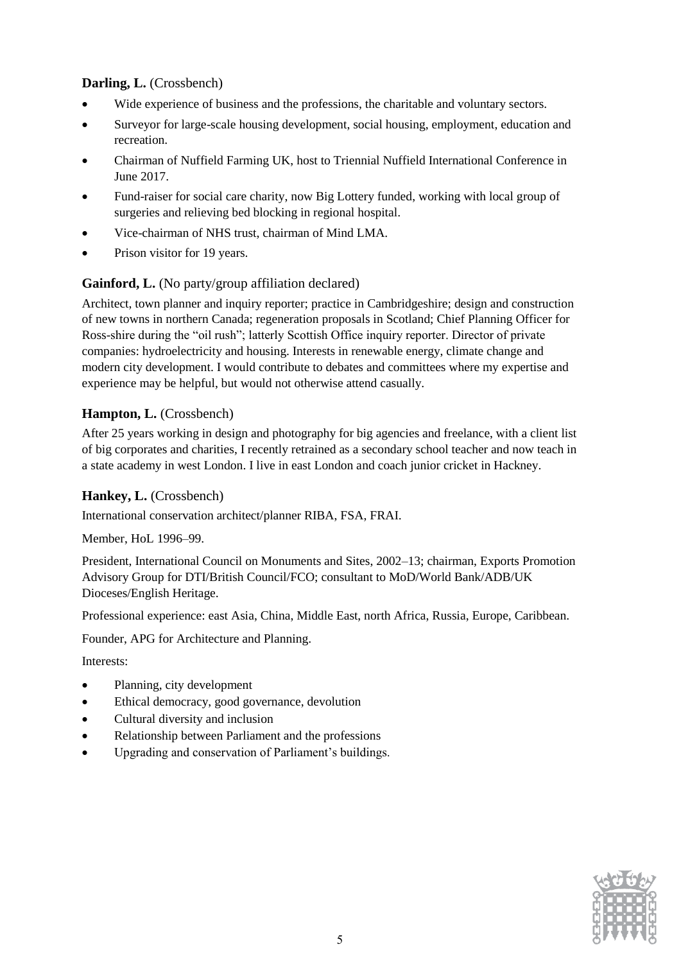# **Darling, L.** (Crossbench)

- Wide experience of business and the professions, the charitable and voluntary sectors.
- Surveyor for large-scale housing development, social housing, employment, education and recreation.
- Chairman of Nuffield Farming UK, host to Triennial Nuffield International Conference in June 2017.
- Fund-raiser for social care charity, now Big Lottery funded, working with local group of surgeries and relieving bed blocking in regional hospital.
- Vice-chairman of NHS trust, chairman of Mind LMA.
- Prison visitor for 19 years.

### **Gainford, L.** (No party/group affiliation declared)

Architect, town planner and inquiry reporter; practice in Cambridgeshire; design and construction of new towns in northern Canada; regeneration proposals in Scotland; Chief Planning Officer for Ross-shire during the "oil rush"; latterly Scottish Office inquiry reporter. Director of private companies: hydroelectricity and housing. Interests in renewable energy, climate change and modern city development. I would contribute to debates and committees where my expertise and experience may be helpful, but would not otherwise attend casually.

### **Hampton, L.** (Crossbench)

After 25 years working in design and photography for big agencies and freelance, with a client list of big corporates and charities, I recently retrained as a secondary school teacher and now teach in a state academy in west London. I live in east London and coach junior cricket in Hackney.

### **Hankey, L.** (Crossbench)

International conservation architect/planner RIBA, FSA, FRAI.

Member, HoL 1996–99.

President, International Council on Monuments and Sites, 2002–13; chairman, Exports Promotion Advisory Group for DTI/British Council/FCO; consultant to MoD/World Bank/ADB/UK Dioceses/English Heritage.

Professional experience: east Asia, China, Middle East, north Africa, Russia, Europe, Caribbean.

Founder, APG for Architecture and Planning.

Interests:

- Planning, city development
- Ethical democracy, good governance, devolution
- Cultural diversity and inclusion
- Relationship between Parliament and the professions
- Upgrading and conservation of Parliament's buildings.

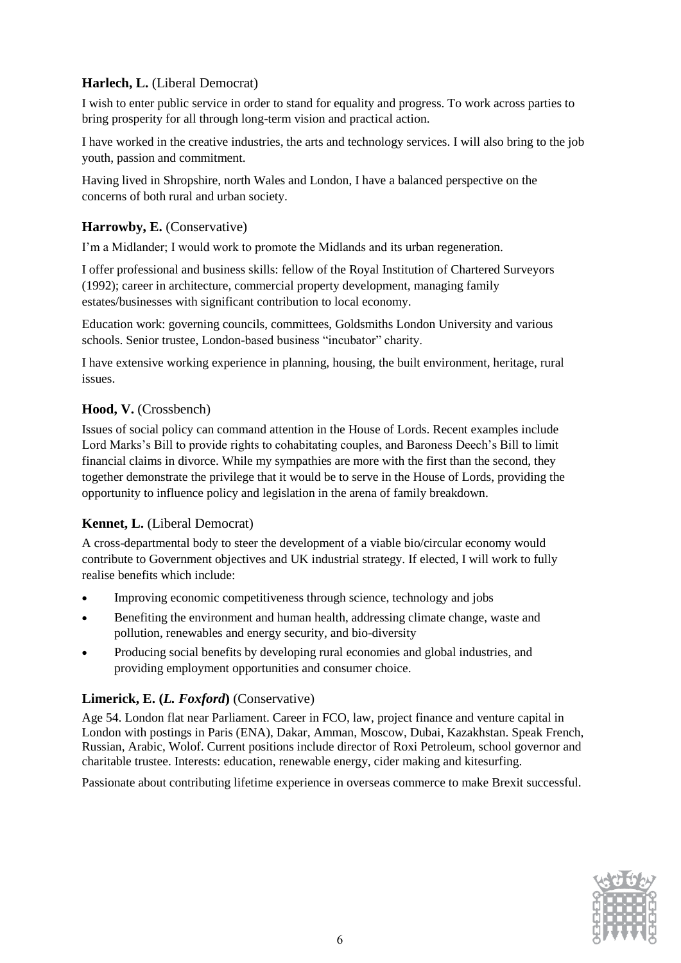# **Harlech, L.** (Liberal Democrat)

I wish to enter public service in order to stand for equality and progress. To work across parties to bring prosperity for all through long-term vision and practical action.

I have worked in the creative industries, the arts and technology services. I will also bring to the job youth, passion and commitment.

Having lived in Shropshire, north Wales and London, I have a balanced perspective on the concerns of both rural and urban society.

# **Harrowby, E.** (Conservative)

I'm a Midlander; I would work to promote the Midlands and its urban regeneration.

I offer professional and business skills: fellow of the Royal Institution of Chartered Surveyors (1992); career in architecture, commercial property development, managing family estates/businesses with significant contribution to local economy.

Education work: governing councils, committees, Goldsmiths London University and various schools. Senior trustee, London-based business "incubator" charity.

I have extensive working experience in planning, housing, the built environment, heritage, rural issues.

# **Hood, V.** (Crossbench)

Issues of social policy can command attention in the House of Lords. Recent examples include Lord Marks's Bill to provide rights to cohabitating couples, and Baroness Deech's Bill to limit financial claims in divorce. While my sympathies are more with the first than the second, they together demonstrate the privilege that it would be to serve in the House of Lords, providing the opportunity to influence policy and legislation in the arena of family breakdown.

# **Kennet, L.** (Liberal Democrat)

A cross-departmental body to steer the development of a viable bio/circular economy would contribute to Government objectives and UK industrial strategy. If elected, I will work to fully realise benefits which include:

- Improving economic competitiveness through science, technology and jobs
- Benefiting the environment and human health, addressing climate change, waste and pollution, renewables and energy security, and bio-diversity
- Producing social benefits by developing rural economies and global industries, and providing employment opportunities and consumer choice.

# **Limerick, E. (***L. Foxford***)** (Conservative)

Age 54. London flat near Parliament. Career in FCO, law, project finance and venture capital in London with postings in Paris (ENA), Dakar, Amman, Moscow, Dubai, Kazakhstan. Speak French, Russian, Arabic, Wolof. Current positions include director of Roxi Petroleum, school governor and charitable trustee. Interests: education, renewable energy, cider making and kitesurfing.

Passionate about contributing lifetime experience in overseas commerce to make Brexit successful.

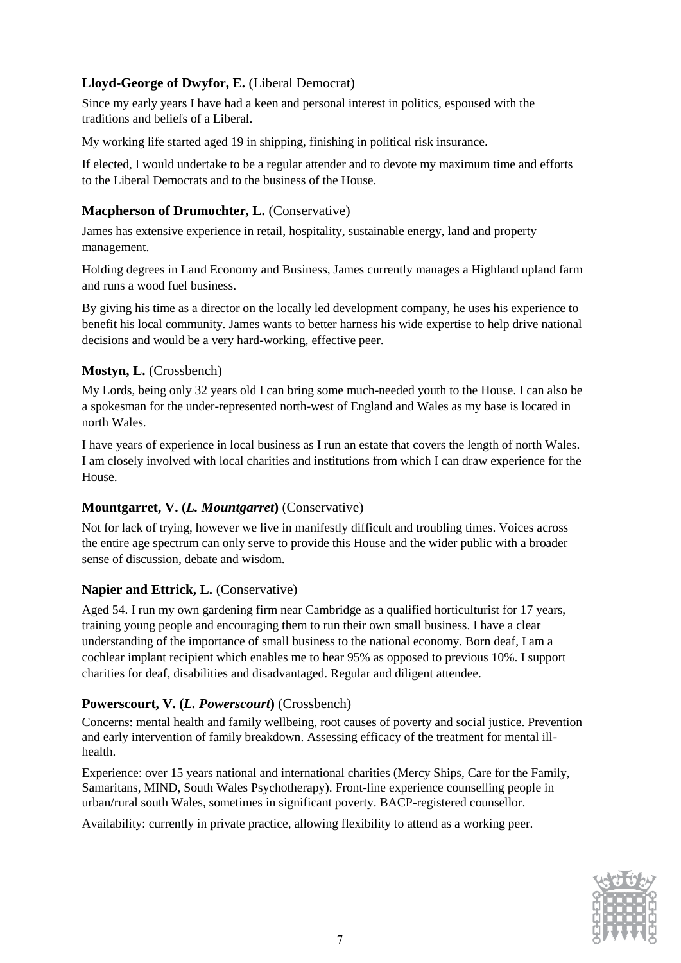# **Lloyd-George of Dwyfor, E.** (Liberal Democrat)

Since my early years I have had a keen and personal interest in politics, espoused with the traditions and beliefs of a Liberal.

My working life started aged 19 in shipping, finishing in political risk insurance.

If elected, I would undertake to be a regular attender and to devote my maximum time and efforts to the Liberal Democrats and to the business of the House.

# **Macpherson of Drumochter, L.** (Conservative)

James has extensive experience in retail, hospitality, sustainable energy, land and property management.

Holding degrees in Land Economy and Business, James currently manages a Highland upland farm and runs a wood fuel business.

By giving his time as a director on the locally led development company, he uses his experience to benefit his local community. James wants to better harness his wide expertise to help drive national decisions and would be a very hard-working, effective peer.

# **Mostyn, L.** (Crossbench)

My Lords, being only 32 years old I can bring some much-needed youth to the House. I can also be a spokesman for the under-represented north-west of England and Wales as my base is located in north Wales.

I have years of experience in local business as I run an estate that covers the length of north Wales. I am closely involved with local charities and institutions from which I can draw experience for the House.

# **Mountgarret, V. (***L. Mountgarret***)** (Conservative)

Not for lack of trying, however we live in manifestly difficult and troubling times. Voices across the entire age spectrum can only serve to provide this House and the wider public with a broader sense of discussion, debate and wisdom.

# **Napier and Ettrick, L.** (Conservative)

Aged 54. I run my own gardening firm near Cambridge as a qualified horticulturist for 17 years, training young people and encouraging them to run their own small business. I have a clear understanding of the importance of small business to the national economy. Born deaf, I am a cochlear implant recipient which enables me to hear 95% as opposed to previous 10%. I support charities for deaf, disabilities and disadvantaged. Regular and diligent attendee.

# **Powerscourt, V. (***L. Powerscourt***)** (Crossbench)

Concerns: mental health and family wellbeing, root causes of poverty and social justice. Prevention and early intervention of family breakdown. Assessing efficacy of the treatment for mental illhealth.

Experience: over 15 years national and international charities (Mercy Ships, Care for the Family, Samaritans, MIND, South Wales Psychotherapy). Front-line experience counselling people in urban/rural south Wales, sometimes in significant poverty. BACP-registered counsellor.

Availability: currently in private practice, allowing flexibility to attend as a working peer.